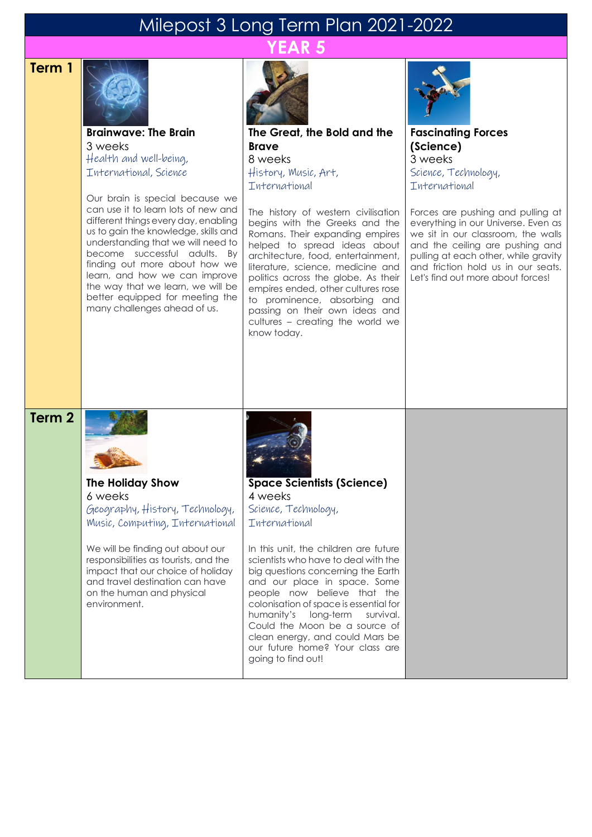# Milepost 3 Long Term Plan 2021-2022

**YEAR 5**





**Brainwave: The Brain** 3 weeks Health and well-being, International, Science

Our brain is special because we can use it to learn lots of new and different things every day, enabling us to gain the knowledge, skills and understanding that we will need to become successful adults. By finding out more about how we learn, and how we can improve the way that we learn, we will be better equipped for meeting the many challenges ahead of us.



**The Great, the Bold and the Brave** 8 weeks History, Music, Art, **Thternational** 

The history of western civilisation begins with the Greeks and the Romans. Their expanding empires helped to spread ideas about architecture, food, entertainment, literature, science, medicine and politics across the globe. As their empires ended, other cultures rose to prominence, absorbing and passing on their own ideas and cultures – creating the world we know today.



**Fascinating Forces (Science)** 3 weeks Science, Technology, International

Forces are pushing and pulling at everything in our Universe. Even as we sit in our classroom, the walls and the ceiling are pushing and pulling at each other, while gravity and friction hold us in our seats. Let's find out more about forces!

### **Term 2**



**The Holiday Show** 6 weeks Geography, History, Technology, Music, Computing, International

We will be finding out about our responsibilities as tourists, and the impact that our choice of holiday and travel destination can have on the human and physical environment.



**Space Scientists (Science)** 4 weeks Science, Technology, International

In this unit, the children are future scientists who have to deal with the big questions concerning the Earth and our place in space. Some people now believe that the colonisation of space is essential for humanity's long-term survival. Could the Moon be a source of clean energy, and could Mars be our future home? Your class are going to find out!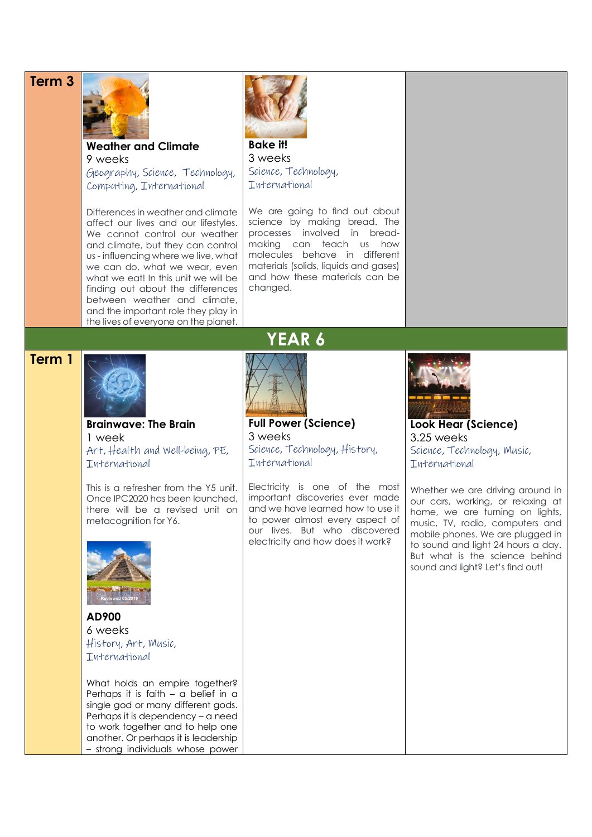#### **Term 3**



**Weather and Climate** 9 weeks Geography, Science, Technology, Computing, International

Differences in weather and climate affect our lives and our lifestyles. We cannot control our weather and climate, but they can control us - influencing where we live, what we can do, what we wear, even what we eat! In this unit we will be finding out about the differences between weather and climate, and the important role they play in the lives of everyone on the planet.



**Bake it!**  3 weeks Science, Technology, **International** 

We are going to find out about science by making bread. The processes involved in breadmaking can teach us how molecules behave in different materials (solids, liquids and gases) and how these materials can be changed.

#### **Term 1**



**Brainwave: The Brain** 1 week Art, Health and Well-being, PE, International

This is a refresher from the Y5 unit. Once IPC2020 has been launched, there will be a revised unit on metacognition for Y6.



**AD900** 6 weeks History, Art, Music, International

What holds an empire together? Perhaps it is faith – a belief in a single god or many different gods. Perhaps it is dependency – a need to work together and to help one another. Or perhaps it is leadership – strong individuals whose power

## **YEAR 6**



**Full Power (Science)** 3 weeks Science, Technology, History, International

Electricity is one of the most important discoveries ever made and we have learned how to use it to power almost every aspect of our lives. But who discovered electricity and how does it work?



**Look Hear (Science)** 3.25 weeks Science, Technology, Music, International

Whether we are driving around in our cars, working, or relaxing at home, we are turning on lights, music, TV, radio, computers and mobile phones. We are plugged in to sound and light 24 hours a day. But what is the science behind sound and light? Let's find out!